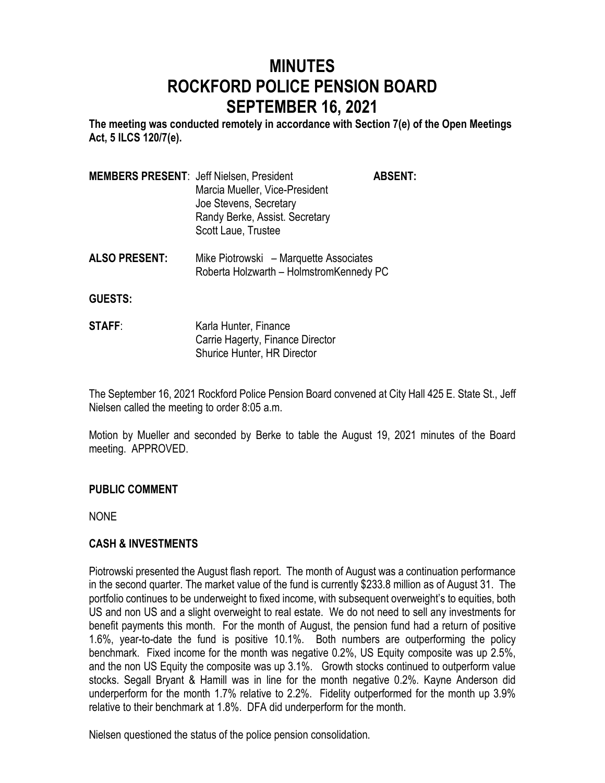# **MINUTES ROCKFORD POLICE PENSION BOARD SEPTEMBER 16, 2021**

**The meeting was conducted remotely in accordance with Section 7(e) of the Open Meetings Act, 5 ILCS 120/7(e).**

| <b>MEMBERS PRESENT: Jeff Nielsen, President</b> | <b>ABSENT:</b> |
|-------------------------------------------------|----------------|
| Marcia Mueller, Vice-President                  |                |
| Joe Stevens, Secretary                          |                |
| Randy Berke, Assist. Secretary                  |                |
| Scott Laue, Trustee                             |                |
|                                                 |                |

**ALSO PRESENT:** Mike Piotrowski – Marquette Associates Roberta Holzwarth – HolmstromKennedy PC

**GUESTS:**

**STAFF:** Karla Hunter, Finance Carrie Hagerty, Finance Director Shurice Hunter, HR Director

The September 16, 2021 Rockford Police Pension Board convened at City Hall 425 E. State St., Jeff Nielsen called the meeting to order 8:05 a.m.

Motion by Mueller and seconded by Berke to table the August 19, 2021 minutes of the Board meeting. APPROVED.

### **PUBLIC COMMENT**

NONE

### **CASH & INVESTMENTS**

Piotrowski presented the August flash report. The month of August was a continuation performance in the second quarter. The market value of the fund is currently \$233.8 million as of August 31. The portfolio continues to be underweight to fixed income, with subsequent overweight's to equities, both US and non US and a slight overweight to real estate. We do not need to sell any investments for benefit payments this month. For the month of August, the pension fund had a return of positive 1.6%, year-to-date the fund is positive 10.1%. Both numbers are outperforming the policy benchmark. Fixed income for the month was negative 0.2%, US Equity composite was up 2.5%, and the non US Equity the composite was up 3.1%. Growth stocks continued to outperform value stocks. Segall Bryant & Hamill was in line for the month negative 0.2%. Kayne Anderson did underperform for the month 1.7% relative to 2.2%. Fidelity outperformed for the month up 3.9% relative to their benchmark at 1.8%. DFA did underperform for the month.

Nielsen questioned the status of the police pension consolidation.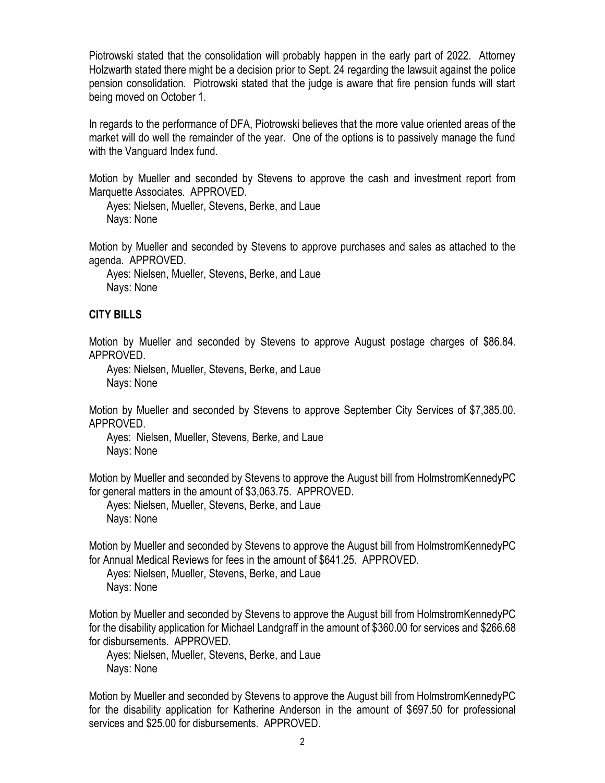Piotrowski stated that the consolidation will probably happen in the early part of 2022. Attorney Holzwarth stated there might be a decision prior to Sept. 24 regarding the lawsuit against the police pension consolidation. Piotrowski stated that the judge is aware that fire pension funds will start being moved on October 1.

In regards to the performance of DFA, Piotrowski believes that the more value oriented areas of the market will do well the remainder of the year. One of the options is to passively manage the fund with the Vanguard Index fund.

Motion by Mueller and seconded by Stevens to approve the cash and investment report from Marquette Associates. APPROVED.

Ayes: Nielsen, Mueller, Stevens, Berke, and Laue Nays: None

Motion by Mueller and seconded by Stevens to approve purchases and sales as attached to the agenda. APPROVED.

Ayes: Nielsen, Mueller, Stevens, Berke, and Laue Nays: None

### **CITY BILLS**

Motion by Mueller and seconded by Stevens to approve August postage charges of \$86.84. APPROVED.

Ayes: Nielsen, Mueller, Stevens, Berke, and Laue Nays: None

Motion by Mueller and seconded by Stevens to approve September City Services of \$7,385.00. APPROVED.

Ayes: Nielsen, Mueller, Stevens, Berke, and Laue Nays: None

Motion by Mueller and seconded by Stevens to approve the August bill from HolmstromKennedyPC for general matters in the amount of \$3,063.75. APPROVED.

Ayes: Nielsen, Mueller, Stevens, Berke, and Laue Nays: None

Motion by Mueller and seconded by Stevens to approve the August bill from HolmstromKennedyPC for Annual Medical Reviews for fees in the amount of \$641.25. APPROVED.

Ayes: Nielsen, Mueller, Stevens, Berke, and Laue Nays: None

Motion by Mueller and seconded by Stevens to approve the August bill from HolmstromKennedyPC for the disability application for Michael Landgraff in the amount of \$360.00 for services and \$266.68 for disbursements. APPROVED.

Ayes: Nielsen, Mueller, Stevens, Berke, and Laue Nays: None

Motion by Mueller and seconded by Stevens to approve the August bill from HolmstromKennedyPC for the disability application for Katherine Anderson in the amount of \$697.50 for professional services and \$25.00 for disbursements. APPROVED.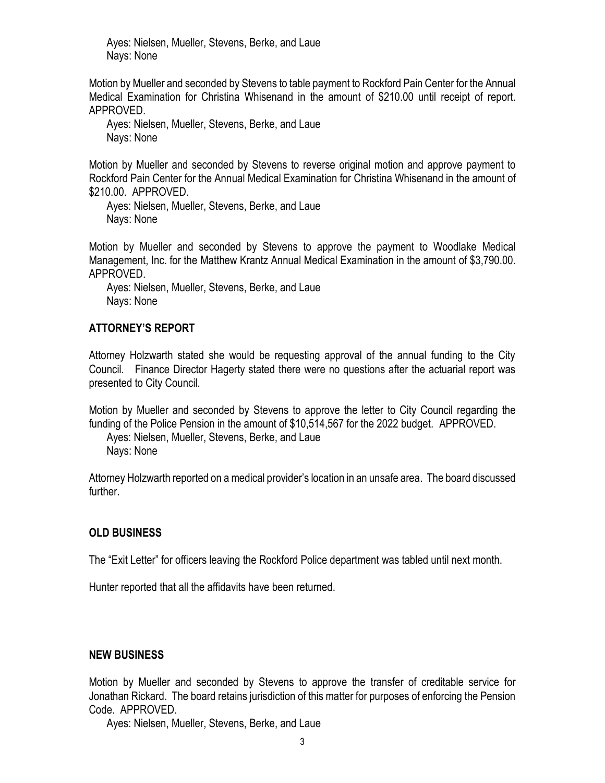Ayes: Nielsen, Mueller, Stevens, Berke, and Laue Nays: None

Motion by Mueller and seconded by Stevens to table payment to Rockford Pain Center for the Annual Medical Examination for Christina Whisenand in the amount of \$210.00 until receipt of report. APPROVED.

Ayes: Nielsen, Mueller, Stevens, Berke, and Laue Nays: None

Motion by Mueller and seconded by Stevens to reverse original motion and approve payment to Rockford Pain Center for the Annual Medical Examination for Christina Whisenand in the amount of \$210.00. APPROVED.

Ayes: Nielsen, Mueller, Stevens, Berke, and Laue Nays: None

Motion by Mueller and seconded by Stevens to approve the payment to Woodlake Medical Management, Inc. for the Matthew Krantz Annual Medical Examination in the amount of \$3,790.00. APPROVED.

Ayes: Nielsen, Mueller, Stevens, Berke, and Laue Nays: None

### **ATTORNEY'S REPORT**

Attorney Holzwarth stated she would be requesting approval of the annual funding to the City Council. Finance Director Hagerty stated there were no questions after the actuarial report was presented to City Council.

Motion by Mueller and seconded by Stevens to approve the letter to City Council regarding the funding of the Police Pension in the amount of \$10,514,567 for the 2022 budget. APPROVED.

Ayes: Nielsen, Mueller, Stevens, Berke, and Laue Nays: None

Attorney Holzwarth reported on a medical provider's location in an unsafe area. The board discussed further.

#### **OLD BUSINESS**

The "Exit Letter" for officers leaving the Rockford Police department was tabled until next month.

Hunter reported that all the affidavits have been returned.

### **NEW BUSINESS**

Motion by Mueller and seconded by Stevens to approve the transfer of creditable service for Jonathan Rickard. The board retains jurisdiction of this matter for purposes of enforcing the Pension Code. APPROVED.

Ayes: Nielsen, Mueller, Stevens, Berke, and Laue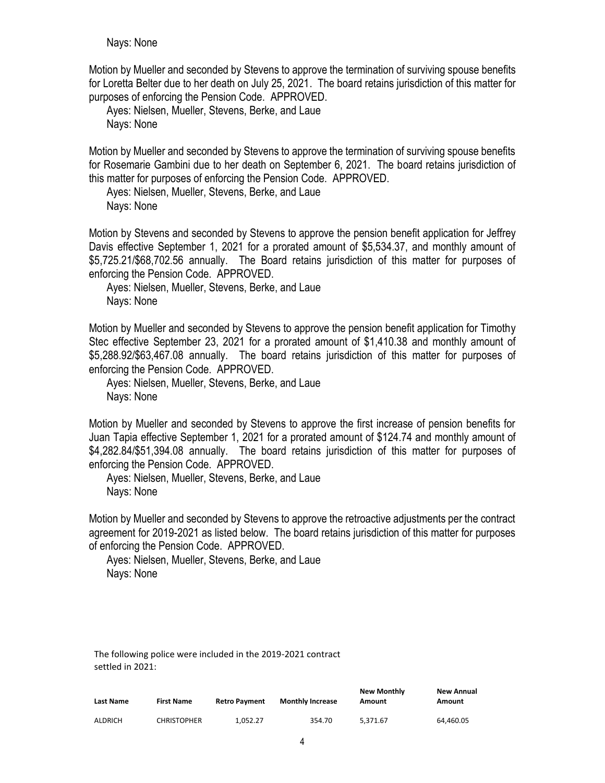Nays: None

Motion by Mueller and seconded by Stevens to approve the termination of surviving spouse benefits for Loretta Belter due to her death on July 25, 2021. The board retains jurisdiction of this matter for purposes of enforcing the Pension Code. APPROVED.

Ayes: Nielsen, Mueller, Stevens, Berke, and Laue Nays: None

Motion by Mueller and seconded by Stevens to approve the termination of surviving spouse benefits for Rosemarie Gambini due to her death on September 6, 2021. The board retains jurisdiction of this matter for purposes of enforcing the Pension Code. APPROVED.

Ayes: Nielsen, Mueller, Stevens, Berke, and Laue Nays: None

Motion by Stevens and seconded by Stevens to approve the pension benefit application for Jeffrey Davis effective September 1, 2021 for a prorated amount of \$5,534.37, and monthly amount of \$5,725.21/\$68,702.56 annually. The Board retains jurisdiction of this matter for purposes of enforcing the Pension Code. APPROVED.

Ayes: Nielsen, Mueller, Stevens, Berke, and Laue Nays: None

Motion by Mueller and seconded by Stevens to approve the pension benefit application for Timothy Stec effective September 23, 2021 for a prorated amount of \$1,410.38 and monthly amount of \$5,288.92/\$63,467.08 annually. The board retains jurisdiction of this matter for purposes of enforcing the Pension Code. APPROVED.

Ayes: Nielsen, Mueller, Stevens, Berke, and Laue Nays: None

Motion by Mueller and seconded by Stevens to approve the first increase of pension benefits for Juan Tapia effective September 1, 2021 for a prorated amount of \$124.74 and monthly amount of \$4,282.84/\$51,394.08 annually. The board retains jurisdiction of this matter for purposes of enforcing the Pension Code. APPROVED.

Ayes: Nielsen, Mueller, Stevens, Berke, and Laue Nays: None

Motion by Mueller and seconded by Stevens to approve the retroactive adjustments per the contract agreement for 2019-2021 as listed below. The board retains jurisdiction of this matter for purposes of enforcing the Pension Code. APPROVED.

Ayes: Nielsen, Mueller, Stevens, Berke, and Laue Nays: None

The following police were included in the 2019-2021 contract settled in 2021:

| <b>Last Name</b> | <b>First Name</b>  | <b>Retro Payment</b> | <b>Monthly Increase</b> | <b>New Monthly</b><br>Amount | New Annual<br>Amount |
|------------------|--------------------|----------------------|-------------------------|------------------------------|----------------------|
| <b>ALDRICH</b>   | <b>CHRISTOPHER</b> | 1.052.27             | 354.70                  | 5.371.67                     | 64.460.05            |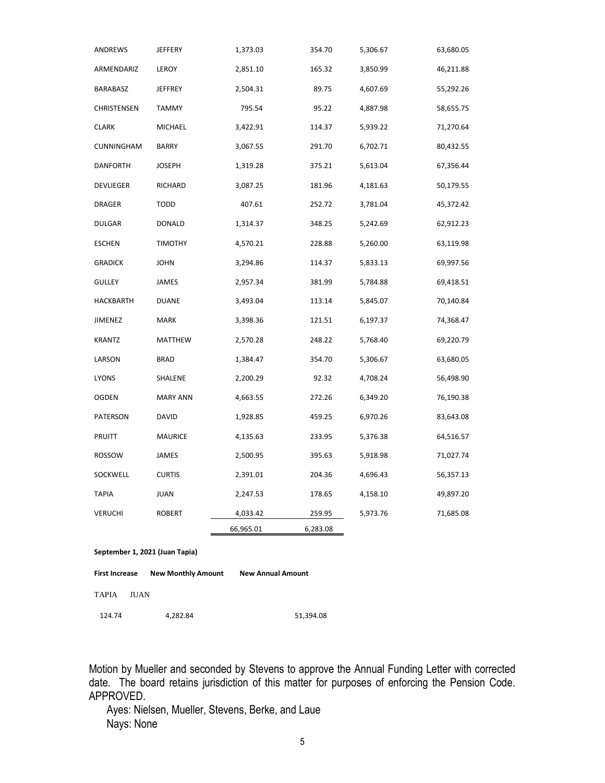| ANDREWS                                                                        | JEFFERY         | 1,373.03  | 354.70   | 5,306.67 | 63,680.05 |  |  |
|--------------------------------------------------------------------------------|-----------------|-----------|----------|----------|-----------|--|--|
| ARMENDARIZ                                                                     | LEROY           | 2,851.10  | 165.32   | 3,850.99 | 46,211.88 |  |  |
| BARABASZ                                                                       | JEFFREY         | 2,504.31  | 89.75    | 4,607.69 | 55,292.26 |  |  |
| CHRISTENSEN                                                                    | <b>TAMMY</b>    | 795.54    | 95.22    | 4,887.98 | 58,655.75 |  |  |
| <b>CLARK</b>                                                                   | MICHAEL         | 3,422.91  | 114.37   | 5,939.22 | 71,270.64 |  |  |
| CUNNINGHAM                                                                     | BARRY           | 3,067.55  | 291.70   | 6,702.71 | 80,432.55 |  |  |
| <b>DANFORTH</b>                                                                | JOSEPH          | 1,319.28  | 375.21   | 5,613.04 | 67,356.44 |  |  |
| DEVLIEGER                                                                      | RICHARD         | 3,087.25  | 181.96   | 4,181.63 | 50,179.55 |  |  |
| DRAGER                                                                         | TODD            | 407.61    | 252.72   | 3,781.04 | 45,372.42 |  |  |
| <b>DULGAR</b>                                                                  | DONALD          | 1,314.37  | 348.25   | 5,242.69 | 62,912.23 |  |  |
| <b>ESCHEN</b>                                                                  | TIMOTHY         | 4,570.21  | 228.88   | 5,260.00 | 63,119.98 |  |  |
| <b>GRADICK</b>                                                                 | JOHN            | 3,294.86  | 114.37   | 5,833.13 | 69,997.56 |  |  |
| <b>GULLEY</b>                                                                  | JAMES           | 2,957.34  | 381.99   | 5,784.88 | 69,418.51 |  |  |
| HACKBARTH                                                                      | DUANE           | 3,493.04  | 113.14   | 5,845.07 | 70,140.84 |  |  |
| <b>JIMENEZ</b>                                                                 | <b>MARK</b>     | 3,398.36  | 121.51   | 6,197.37 | 74,368.47 |  |  |
| <b>KRANTZ</b>                                                                  | MATTHEW         | 2,570.28  | 248.22   | 5,768.40 | 69,220.79 |  |  |
| LARSON                                                                         | <b>BRAD</b>     | 1,384.47  | 354.70   | 5,306.67 | 63,680.05 |  |  |
| LYONS                                                                          | SHALENE         | 2,200.29  | 92.32    | 4,708.24 | 56,498.90 |  |  |
| OGDEN                                                                          | <b>MARY ANN</b> | 4,663.55  | 272.26   | 6,349.20 | 76,190.38 |  |  |
| PATERSON                                                                       | DAVID           | 1,928.85  | 459.25   | 6,970.26 | 83,643.08 |  |  |
| <b>PRUITT</b>                                                                  | <b>MAURICE</b>  | 4,135.63  | 233.95   | 5,376.38 | 64,516.57 |  |  |
| ROSSOW                                                                         | JAMES           | 2,500.95  | 395.63   | 5,918.98 | 71,027.74 |  |  |
| SOCKWELL                                                                       | <b>CURTIS</b>   | 2,391.01  | 204.36   | 4,696.43 | 56,357.13 |  |  |
| <b>TAPIA</b>                                                                   | JUAN            | 2,247.53  | 178.65   | 4,158.10 | 49,897.20 |  |  |
| <b>VERUCHI</b>                                                                 | <b>ROBERT</b>   | 4,033.42  | 259.95   | 5,973.76 | 71,685.08 |  |  |
|                                                                                |                 | 66,965.01 | 6,283.08 |          |           |  |  |
| September 1, 2021 (Juan Tapia)                                                 |                 |           |          |          |           |  |  |
| <b>New Monthly Amount</b><br><b>New Annual Amount</b><br><b>First Increase</b> |                 |           |          |          |           |  |  |

TAPIA JUAN

124.74 4,282.84 51,394.08

Motion by Mueller and seconded by Stevens to approve the Annual Funding Letter with corrected date. The board retains jurisdiction of this matter for purposes of enforcing the Pension Code. APPROVED.

Ayes: Nielsen, Mueller, Stevens, Berke, and Laue Nays: None